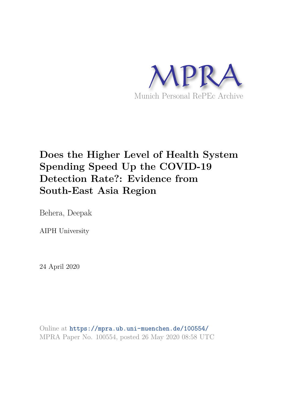

# **Does the Higher Level of Health System Spending Speed Up the COVID-19 Detection Rate?: Evidence from South-East Asia Region**

Behera, Deepak

AIPH University

24 April 2020

Online at https://mpra.ub.uni-muenchen.de/100554/ MPRA Paper No. 100554, posted 26 May 2020 08:58 UTC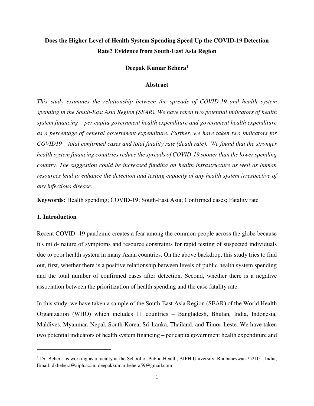# **Does the Higher Level of Health System Spending Speed Up the COVID-19 Detection Rate? Evidence from South-East Asia Region**

# **Deepak Kumar Behera<sup>1</sup>**

#### **Abstract**

*This study examines the relationship between the spreads of COVID-19 and health system spending in the South-East Asia Region (SEAR). We have taken two potential indicators of health system financing – per capita government health expenditure and government health expenditure as a percentage of general government expenditure. Further, we have taken two indicators for COVID19 – total confirmed cases and total fatality rate (death rate). We found that the stronger health system financing countries reduce the spreads of COVID-19 sooner than the lower spending country. The suggestion could be increased funding on health infrastructure as well as human resources lead to enhance the detection and testing capacity of any health system irrespective of any infectious disease.* 

**Keywords:** Health spending; COVID-19; South-East Asia; Confirmed cases; Fatality rate

## **1. Introduction**

 $\overline{a}$ 

Recent COVID -19 pandemic creates a fear among the common people across the globe because it's mild- nature of symptoms and resource constraints for rapid testing of suspected individuals due to poor health system in many Asian countries. On the above backdrop, this study tries to find out, first, whether there is a positive relationship between levels of public health system spending and the total number of confirmed cases after detection. Second, whether there is a negative association between the prioritization of health spending and the case fatality rate.

In this study, we have taken a sample of the South-East Asia Region (SEAR) of the World Health Organization (WHO) which includes 11 countries – Bangladesh, Bhutan, India, Indonesia, Maldives, Myanmar, Nepal, South Korea, Sri Lanka, Thailand, and Timor-Leste. We have taken two potential indicators of health system financing – per capita government health expenditure and

<sup>&</sup>lt;sup>1</sup> Dr. Behera is working as a faculty at the School of Public Health, AIPH University, Bhubaneswar-752101, India; Email: dkbehera@aiph.ac.in; deepakkumar.behera59@gmail.com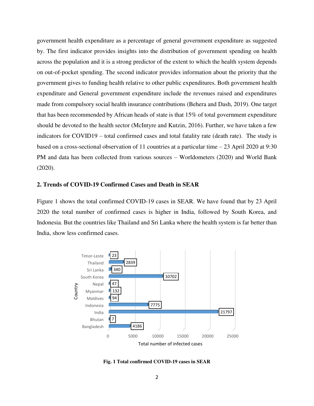government health expenditure as a percentage of general government expenditure as suggested by. The first indicator provides insights into the distribution of government spending on health across the population and it is a strong predictor of the extent to which the health system depends on out-of-pocket spending. The second indicator provides information about the priority that the government gives to funding health relative to other public expenditures. Both government health expenditure and General government expenditure include the revenues raised and expenditures made from compulsory social health insurance contributions (Behera and Dash, 2019). One target that has been recommended by African heads of state is that 15% of total government expenditure should be devoted to the health sector (McIntyre and Kutzin, 2016). Further, we have taken a few indicators for COVID19 – total confirmed cases and total fatality rate (death rate). The study is based on a cross-sectional observation of 11 countries at a particular time  $-23$  April 2020 at 9:30 PM and data has been collected from various sources – Worldometers (2020) and World Bank (2020).

## **2. Trends of COVID-19 Confirmed Cases and Death in SEAR**

Figure 1 shows the total confirmed COVID-19 cases in SEAR. We have found that by 23 April 2020 the total number of confirmed cases is higher in India, followed by South Korea, and Indonesia. But the countries like Thailand and Sri Lanka where the health system is far better than India, show less confirmed cases.



**Fig. 1 Total confirmed COVID-19 cases in SEAR**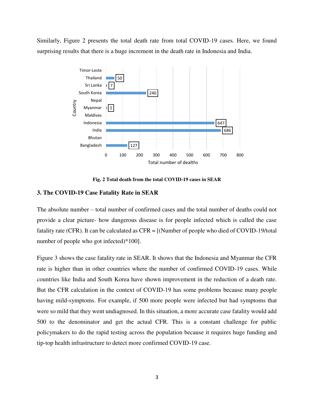Similarly, Figure 2 presents the total death rate from total COVID-19 cases. Here, we found surprising results that there is a huge increment in the death rate in Indonesia and India.



**Fig. 2 Total death from the total COVID-19 cases in SEAR** 

#### **3. The COVID-19 Case Fatality Rate in SEAR**

The absolute number – total number of confirmed cases and the total number of deaths could not provide a clear picture- how dangerous disease is for people infected which is called the case fatality rate (CFR). It can be calculated as CFR = [(Number of people who died of COVID-19/total number of people who got infected)\*100].

Figure 3 shows the case fatality rate in SEAR. It shows that the Indonesia and Myanmar the CFR rate is higher than in other countries where the number of confirmed COVID-19 cases. While countries like India and South Korea have shown improvement in the reduction of a death rate. But the CFR calculation in the context of COVID-19 has some problems because many people having mild-symptoms. For example, if 500 more people were infected but had symptoms that were so mild that they went undiagnosed. In this situation, a more accurate case fatality would add 500 to the denominator and get the actual CFR. This is a constant challenge for public policymakers to do the rapid testing across the population because it requires huge funding and tip-top health infrastructure to detect more confirmed COVID-19 case.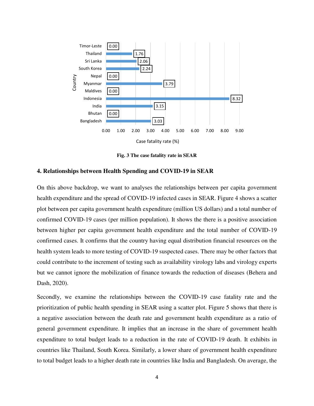

**Fig. 3 The case fatality rate in SEAR** 

#### **4. Relationships between Health Spending and COVID-19 in SEAR**

On this above backdrop, we want to analyses the relationships between per capita government health expenditure and the spread of COVID-19 infected cases in SEAR. Figure 4 shows a scatter plot between per capita government health expenditure (million US dollars) and a total number of confirmed COVID-19 cases (per million population). It shows the there is a positive association between higher per capita government health expenditure and the total number of COVID-19 confirmed cases. It confirms that the country having equal distribution financial resources on the health system leads to more testing of COVID-19 suspected cases. There may be other factors that could contribute to the increment of testing such as availability virology labs and virology experts but we cannot ignore the mobilization of finance towards the reduction of diseases (Behera and Dash, 2020).

Secondly, we examine the relationships between the COVID-19 case fatality rate and the prioritization of public health spending in SEAR using a scatter plot. Figure 5 shows that there is a negative association between the death rate and government health expenditure as a ratio of general government expenditure. It implies that an increase in the share of government health expenditure to total budget leads to a reduction in the rate of COVID-19 death. It exhibits in countries like Thailand, South Korea. Similarly, a lower share of government health expenditure to total budget leads to a higher death rate in countries like India and Bangladesh. On average, the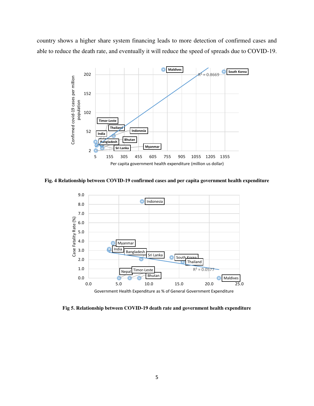country shows a higher share system financing leads to more detection of confirmed cases and able to reduce the death rate, and eventually it will reduce the speed of spreads due to COVID-19.



**Fig. 4 Relationship between COVID-19 confirmed cases and per capita government health expenditure** 



**Fig 5. Relationship between COVID-19 death rate and government health expenditure**